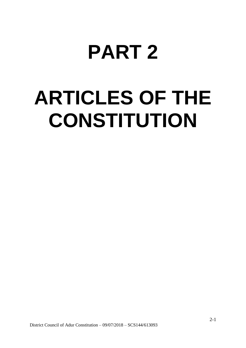# **PART 2**

# **ARTICLES OF THE CONSTITUTION**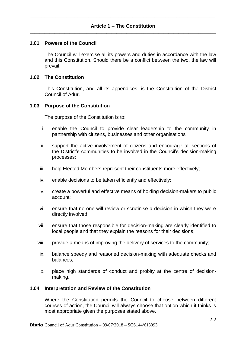## **1.01 Powers of the Council**

The Council will exercise all its powers and duties in accordance with the law and this Constitution. Should there be a conflict between the two, the law will prevail.

## **1.02 The Constitution**

This Constitution, and all its appendices, is the Constitution of the District Council of Adur.

### **1.03 Purpose of the Constitution**

The purpose of the Constitution is to:

- i. enable the Council to provide clear leadership to the community in partnership with citizens, businesses and other organisations
- ii. support the active involvement of citizens and encourage all sections of the District's communities to be involved in the Council's decision-making processes;
- iii. help Elected Members represent their constituents more effectively;
- iv. enable decisions to be taken efficiently and effectively;
- v. create a powerful and effective means of holding decision-makers to public account;
- vi. ensure that no one will review or scrutinise a decision in which they were directly involved;
- vii. ensure that those responsible for decision-making are clearly identified to local people and that they explain the reasons for their decisions;
- viii. provide a means of improving the delivery of services to the community;
- ix. balance speedy and reasoned decision-making with adequate checks and balances;
- x. place high standards of conduct and probity at the centre of decisionmaking.

#### **1.04 Interpretation and Review of the Constitution**

Where the Constitution permits the Council to choose between different courses of action, the Council will always choose that option which it thinks is most appropriate given the purposes stated above.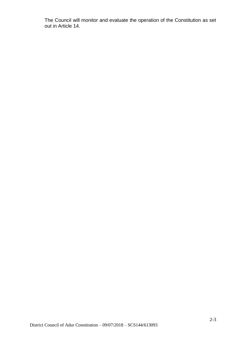The Council will monitor and evaluate the operation of the Constitution as set out in Article 14.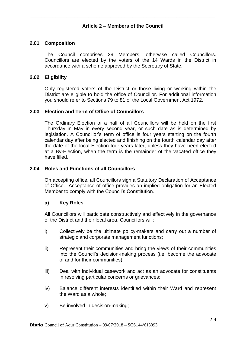## **2.01 Composition**

The Council comprises 29 Members, otherwise called Councillors. Councillors are elected by the voters of the 14 Wards in the District in accordance with a scheme approved by the Secretary of State.

## **2.02 Eligibility**

Only registered voters of the District or those living or working within the District are eligible to hold the office of Councillor. For additional information you should refer to Sections 79 to 81 of the Local Government Act 1972.

### **2.03 Election and Term of Office of Councillors**

The Ordinary Election of a half of all Councillors will be held on the first Thursday in May in every second year, or such date as is determined by legislation. A Councillor's term of office is four years starting on the fourth calendar day after being elected and finishing on the fourth calendar day after the date of the local Election four years later, unless they have been elected at a By-Election, when the term is the remainder of the vacated office they have filled.

### **2.04 Roles and Functions of all Councillors**

On accepting office, all Councillors sign a Statutory Declaration of Acceptance of Office. Acceptance of office provides an implied obligation for an Elected Member to comply with the Council's Constitution.

#### **a) Key Roles**

All Councillors will participate constructively and effectively in the governance of the District and their local area. Councillors will:

- i) Collectively be the ultimate policy-makers and carry out a number of strategic and corporate management functions;
- ii) Represent their communities and bring the views of their communities into the Council's decision-making process (i.e. become the advocate of and for their communities);
- iii) Deal with individual casework and act as an advocate for constituents in resolving particular concerns or grievances;
- iv) Balance different interests identified within their Ward and represent the Ward as a whole;
- v) Be involved in decision-making;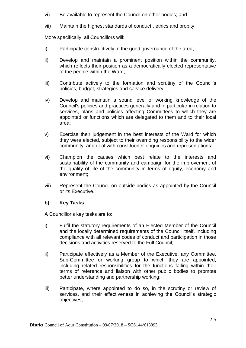- vi) Be available to represent the Council on other bodies; and
- vii) Maintain the highest standards of conduct , ethics and probity.

More specifically, all Councillors will:

- i) Participate constructively in the good governance of the area;
- ii) Develop and maintain a prominent position within the community, which reflects their position as a democratically elected representative of the people within the Ward;
- iii) Contribute actively to the formation and scrutiny of the Council's policies, budget, strategies and service delivery;
- iv) Develop and maintain a sound level of working knowledge of the Council's policies and practices generally and in particular in relation to services, plans and policies affecting Committees to which they are appointed or functions which are delegated to them and to their local area;
- v) Exercise their judgement in the best interests of the Ward for which they were elected, subject to their overriding responsibility to the wider community, and deal with constituents' enquiries and representations;
- vi) Champion the causes which best relate to the interests and sustainability of the community and campaign for the improvement of the quality of life of the community in terms of equity, economy and environment;
- vii) Represent the Council on outside bodies as appointed by the Council or its Executive.

# **b) Key Tasks**

A Councillor's key tasks are to:

- i) Fulfil the statutory requirements of an Elected Member of the Council and the locally determined requirements of the Council itself, including compliance with all relevant codes of conduct and participation in those decisions and activities reserved to the Full Council;
- ii) Participate effectively as a Member of the Executive, any Committee, Sub-Committee or working group to which they are appointed, including related responsibilities for the functions falling within their terms of reference and liaison with other public bodies to promote better understanding and partnership working;
- iii) Participate, where appointed to do so, in the scrutiny or review of services, and their effectiveness in achieving the Council's strategic objectives;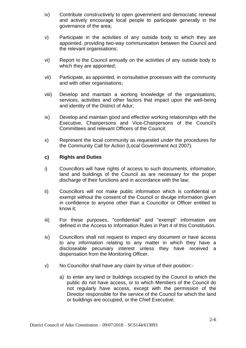- iv) Contribute constructively to open government and democratic renewal and actively encourage local people to participate generally in the governance of the area;
- v) Participate in the activities of any outside body to which they are appointed, providing two-way communication between the Council and the relevant organisations;
- vi) Report to the Council annually on the activities of any outside body to which they are appointed;
- vii) Participate, as appointed, in consultative processes with the community and with other organisations;
- viii) Develop and maintain a working knowledge of the organisations, services, activities and other factors that impact upon the well-being and identity of the District of Adur;
- ix) Develop and maintain good and effective working relationships with the Executive, Chairpersons and Vice-Chairpersons of the Council's Committees and relevant Officers of the Council;
- x) Represent the local community as requested under the procedures for the Community Call for Action (Local Government Act 2007).

## **c) Rights and Duties**

- i) Councillors will have rights of access to such documents, information, land and buildings of the Council as are necessary for the proper discharge of their functions and in accordance with the law;
- ii) Councillors will not make public information which is confidential or exempt without the consent of the Council or divulge information given in confidence to anyone other than a Councillor or Officer entitled to know it;
- iii) For these purposes, "confidential" and "exempt" information are defined in the Access to Information Rules in Part 4 of this Constitution.
- iv) Councillors shall not request to inspect any document or have access to any information relating to any matter in which they have a discloseable pecuniary interest unless they have received a dispensation from the Monitoring Officer.
- v) No Councillor shall have any claim by virtue of their position:
	- a) to enter any land or buildings occupied by the Council to which the public do not have access, or to which Members of the Council do not regularly have access, except with the permission of the Director responsible for the service of the Council for which the land or buildings are occupied, or the Chief Executive;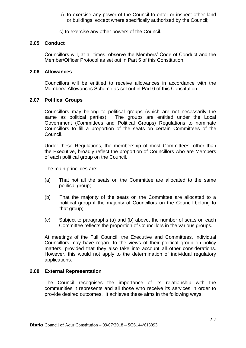b) to exercise any power of the Council to enter or inspect other land or buildings, except where specifically authorised by the Council;

c) to exercise any other powers of the Council.

#### **2.05 Conduct**

Councillors will, at all times, observe the Members' Code of Conduct and the Member/Officer Protocol as set out in Part 5 of this Constitution.

#### **2.06 Allowances**

Councillors will be entitled to receive allowances in accordance with the Members' Allowances Scheme as set out in Part 6 of this Constitution.

#### **2.07 Political Groups**

Councillors may belong to political groups (which are not necessarily the same as political parties). The groups are entitled under the Local Government (Committees and Political Groups) Regulations to nominate Councillors to fill a proportion of the seats on certain Committees of the Council.

Under these Regulations, the membership of most Committees, other than the Executive, broadly reflect the proportion of Councillors who are Members of each political group on the Council.

The main principles are:

- (a) That not all the seats on the Committee are allocated to the same political group;
- (b) That the majority of the seats on the Committee are allocated to a political group if the majority of Councillors on the Council belong to that group;
- (c) Subject to paragraphs (a) and (b) above, the number of seats on each Committee reflects the proportion of Councillors in the various groups.

At meetings of the Full Council, the Executive and Committees, individual Councillors may have regard to the views of their political group on policy matters, provided that they also take into account all other considerations. However, this would not apply to the determination of individual regulatory applications.

#### **2.08 External Representation**

The Council recognises the importance of its relationship with the communities it represents and all those who receive its services in order to provide desired outcomes. It achieves these aims in the following ways: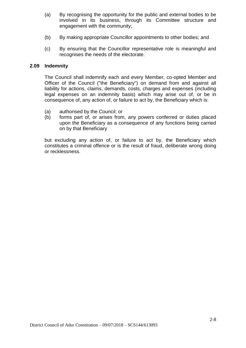- (a) By recognising the opportunity for the public and external bodies to be involved in its business, through its Committee structure and engagement with the community;
- (b) By making appropriate Councillor appointments to other bodies; and
- (c) By ensuring that the Councillor representative role is meaningful and recognises the needs of the electorate.

## **2.09 Indemnity**

The Council shall indemnify each and every Member, co-opted Member and Officer of the Council ("the Beneficiary") on demand from and against all liability for actions, claims, demands, costs, charges and expenses (including legal expenses on an indemnity basis) which may arise out of, or be in consequence of, any action of, or failure to act by, the Beneficiary which is:

- (a) authorised by the Council; or
- (b) forms part of, or arises from, any powers conferred or duties placed upon the Beneficiary as a consequence of any functions being carried on by that Beneficiary

but excluding any action of, or failure to act by, the Beneficiary which constitutes a criminal offence or is the result of fraud, deliberate wrong doing or recklessness.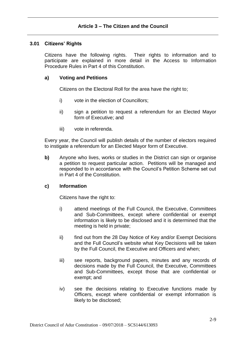## **3.01 Citizens' Rights**

Citizens have the following rights. Their rights to information and to participate are explained in more detail in the Access to Information Procedure Rules in Part 4 of this Constitution.

## **a) Voting and Petitions**

Citizens on the Electoral Roll for the area have the right to;

- i) vote in the election of Councillors;
- ii) sign a petition to request a referendum for an Elected Mayor form of Executive; and
- iii) vote in referenda.

Every year, the Council will publish details of the number of electors required to instigate a referendum for an Elected Mayor form of Executive.

**b)** Anyone who lives, works or studies in the District can sign or organise a petition to request particular action. Petitions will be managed and responded to in accordance with the Council's Petition Scheme set out in Part 4 of the Constitution.

## **c) Information**

Citizens have the right to:

- i) attend meetings of the Full Council, the Executive, Committees and Sub-Committees, except where confidential or exempt information is likely to be disclosed and it is determined that the meeting is held in private;
- ii) find out from the 28 Day Notice of Key and/or Exempt Decisions and the Full Council's website what Key Decisions will be taken by the Full Council, the Executive and Officers and when;
- iii) see reports, background papers, minutes and any records of decisions made by the Full Council, the Executive, Committees and Sub-Committees, except those that are confidential or exempt; and
- iv) see the decisions relating to Executive functions made by Officers, except where confidential or exempt information is likely to be disclosed;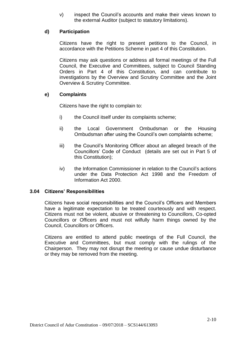v) inspect the Council's accounts and make their views known to the external Auditor (subject to statutory limitations).

## **d) Participation**

Citizens have the right to present petitions to the Council, in accordance with the Petitions Scheme in part 4 of this Constitution.

Citizens may ask questions or address all formal meetings of the Full Council, the Executive and Committees, subject to Council Standing Orders in Part 4 of this Constitution, and can contribute to investigations by the Overview and Scrutiny Committee and the Joint Overview & Scrutiny Committee.

# **e) Complaints**

Citizens have the right to complain to:

- i) the Council itself under its complaints scheme;
- ii) the Local Government Ombudsman or the Housing Ombudsman after using the Council's own complaints scheme;
- iii) the Council's Monitoring Officer about an alleged breach of the Councillors' Code of Conduct (details are set out in Part 5 of this Constitution);
- iv) the Information Commissioner in relation to the Council's actions under the Data Protection Act 1998 and the Freedom of Information Act 2000.

## **3.04 Citizens' Responsibilities**

Citizens have social responsibilities and the Council's Officers and Members have a legitimate expectation to be treated courteously and with respect. Citizens must not be violent, abusive or threatening to Councillors, Co-opted Councillors or Officers and must not wilfully harm things owned by the Council, Councillors or Officers.

Citizens are entitled to attend public meetings of the Full Council, the Executive and Committees, but must comply with the rulings of the Chairperson. They may not disrupt the meeting or cause undue disturbance or they may be removed from the meeting.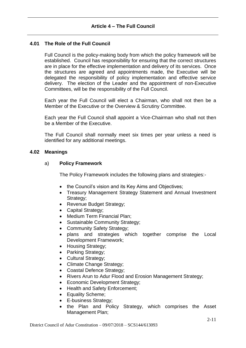# **4.01 The Role of the Full Council**

Full Council is the policy-making body from which the policy framework will be established. Council has responsibility for ensuring that the correct structures are in place for the effective implementation and delivery of its services. Once the structures are agreed and appointments made, the Executive will be delegated the responsibility of policy implementation and effective service delivery. The election of the Leader and the appointment of non-Executive Committees, will be the responsibility of the Full Council.

Each year the Full Council will elect a Chairman, who shall not then be a Member of the Executive or the Overview & Scrutiny Committee.

Each year the Full Council shall appoint a Vice-Chairman who shall not then be a Member of the Executive.

The Full Council shall normally meet six times per year unless a need is identified for any additional meetings.

### **4.02 Meanings**

## a) **Policy Framework**

The Policy Framework includes the following plans and strategies:-

- the Council's vision and its Key Aims and Objectives;
- Treasury Management Strategy Statement and Annual Investment Strategy;
- Revenue Budget Strategy;
- Capital Strategy;
- Medium Term Financial Plan;
- Sustainable Community Strategy;
- Community Safety Strategy:
- plans and strategies which together comprise the Local Development Framework;
- Housing Strategy;
- Parking Strategy;
- Cultural Strategy;
- Climate Change Strategy;
- Coastal Defence Strategy:
- Rivers Arun to Adur Flood and Erosion Management Strategy;
- Economic Development Strategy;
- Health and Safety Enforcement:
- Equality Scheme;
- E-business Strategy;
- the Plan and Policy Strategy, which comprises the Asset Management Plan;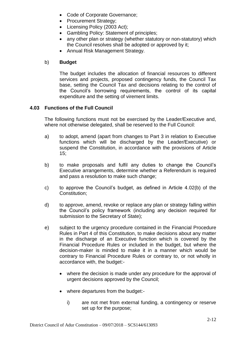- Code of Corporate Governance;
- Procurement Strategy;
- Licensing Policy (2003 Act);
- Gambling Policy: Statement of principles;
- any other plan or strategy (whether statutory or non-statutory) which the Council resolves shall be adopted or approved by it;
- Annual Risk Management Strategy.

## b) **Budget**

The budget includes the allocation of financial resources to different services and projects, proposed contingency funds, the Council Tax base, setting the Council Tax and decisions relating to the control of the Council's borrowing requirements, the control of its capital expenditure and the setting of virement limits.

# **4.03 Functions of the Full Council**

The following functions must not be exercised by the Leader/Executive and, where not otherwise delegated, shall be reserved to the Full Council:

- a) to adopt, amend (apart from changes to Part 3 in relation to Executive functions which will be discharged by the Leader/Executive) or suspend the Constitution, in accordance with the provisions of Article 15;
- b) to make proposals and fulfil any duties to change the Council's Executive arrangements, determine whether a Referendum is required and pass a resolution to make such change;
- c) to approve the Council's budget, as defined in Article 4.02(b) of the Constitution;
- d) to approve, amend, revoke or replace any plan or strategy falling within the Council's policy framework (including any decision required for submission to the Secretary of State);
- e) subject to the urgency procedure contained in the Financial Procedure Rules in Part 4 of this Constitution, to make decisions about any matter in the discharge of an Executive function which is covered by the Financial Procedure Rules or included in the budget, but where the decision-maker is minded to make it in a manner which would be contrary to Financial Procedure Rules or contrary to, or not wholly in accordance with, the budget:
	- where the decision is made under any procedure for the approval of urgent decisions approved by the Council;
	- where departures from the budget:
		- i) are not met from external funding, a contingency or reserve set up for the purpose;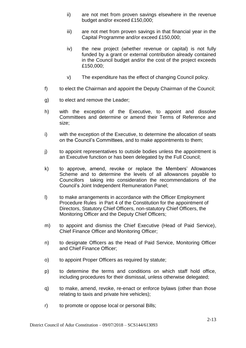- ii) are not met from proven savings elsewhere in the revenue budget and/or exceed £150,000;
- iii) are not met from proven savings in that financial year in the Capital Programme and/or exceed £150,000;
- iv) the new project (whether revenue or capital) is not fully funded by a grant or external contribution already contained in the Council budget and/or the cost of the project exceeds £150,000;
- v) The expenditure has the effect of changing Council policy.
- f) to elect the Chairman and appoint the Deputy Chairman of the Council;
- g) to elect and remove the Leader;
- h) with the exception of the Executive, to appoint and dissolve Committees and determine or amend their Terms of Reference and size;
- i) with the exception of the Executive, to determine the allocation of seats on the Council's Committees, and to make appointments to them;
- j) to appoint representatives to outside bodies unless the appointment is an Executive function or has been delegated by the Full Council;
- k) to approve, amend, revoke or replace the Members' Allowances Scheme and to determine the levels of all allowances payable to Councillors taking into consideration the recommendations of the Council's Joint Independent Remuneration Panel;
- l) to make arrangements in accordance with the Officer Employment Procedure Rules in Part 4 of the Constitution for the appointment of Directors, Statutory Chief Officers, non-statutory Chief Officers, the Monitoring Officer and the Deputy Chief Officers;
- m) to appoint and dismiss the Chief Executive (Head of Paid Service), Chief Finance Officer and Monitoring Officer;
- n) to designate Officers as the Head of Paid Service, Monitoring Officer and Chief Finance Officer;
- o) to appoint Proper Officers as required by statute;
- p) to determine the terms and conditions on which staff hold office, including procedures for their dismissal, unless otherwise delegated;
- q) to make, amend, revoke, re-enact or enforce bylaws (other than those relating to taxis and private hire vehicles);
- r) to promote or oppose local or personal Bills;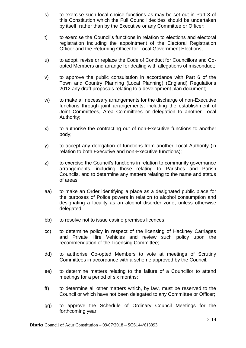- s) to exercise such local choice functions as may be set out in Part 3 of this Constitution which the Full Council decides should be undertaken by itself, rather than by the Executive or any Committee or Officer;
- t) to exercise the Council's functions in relation to elections and electoral registration including the appointment of the Electoral Registration Officer and the Returning Officer for Local Government Elections;
- u) to adopt, revise or replace the Code of Conduct for Councillors and Coopted Members and arrange for dealing with allegations of misconduct;
- v) to approve the public consultation in accordance with Part 6 of the Town and Country Planning (Local Planning) (England) Regulations 2012 any draft proposals relating to a development plan document;
- w) to make all necessary arrangements for the discharge of non-Executive functions through joint arrangements, including the establishment of Joint Committees, Area Committees or delegation to another Local Authority;
- x) to authorise the contracting out of non-Executive functions to another body;
- y) to accept any delegation of functions from another Local Authority (in relation to both Executive and non-Executive functions);
- z) to exercise the Council's functions in relation to community governance arrangements, including those relating to Parishes and Parish Councils, and to determine any matters relating to the name and status of areas;
- aa) to make an Order identifying a place as a designated public place for the purposes of Police powers in relation to alcohol consumption and designating a locality as an alcohol disorder zone, unless otherwise delegated;
- bb) to resolve not to issue casino premises licences;
- cc) to determine policy in respect of the licensing of Hackney Carriages and Private Hire Vehicles and review such policy upon the recommendation of the Licensing Committee;
- dd) to authorise Co-opted Members to vote at meetings of Scrutiny Committees in accordance with a scheme approved by the Council;
- ee) to determine matters relating to the failure of a Councillor to attend meetings for a period of six months;
- ff) to determine all other matters which, by law, must be reserved to the Council or which have not been delegated to any Committee or Officer;
- gg) to approve the Schedule of Ordinary Council Meetings for the forthcoming year;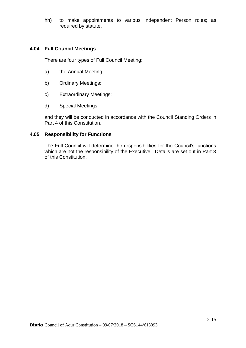hh) to make appointments to various Independent Person roles; as required by statute.

## **4.04 Full Council Meetings**

There are four types of Full Council Meeting:

- a) the Annual Meeting;
- b) Ordinary Meetings;
- c) Extraordinary Meetings;
- d) Special Meetings;

and they will be conducted in accordance with the Council Standing Orders in Part 4 of this Constitution.

## **4.05 Responsibility for Functions**

The Full Council will determine the responsibilities for the Council's functions which are not the responsibility of the Executive. Details are set out in Part 3 of this Constitution.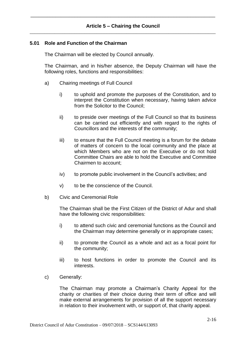## **Article 5 – Chairing the Council** \_\_\_\_\_\_\_\_\_\_\_\_\_\_\_\_\_\_\_\_\_\_\_\_\_\_\_\_\_\_\_\_\_\_\_\_\_\_\_\_\_\_\_\_\_\_\_\_\_\_\_\_\_\_\_\_\_\_\_\_\_\_\_\_\_\_\_\_\_\_\_\_\_\_\_

\_\_\_\_\_\_\_\_\_\_\_\_\_\_\_\_\_\_\_\_\_\_\_\_\_\_\_\_\_\_\_\_\_\_\_\_\_\_\_\_\_\_\_\_\_\_\_\_\_\_\_\_\_\_\_\_\_\_\_\_\_\_\_\_\_\_\_

#### **5.01 Role and Function of the Chairman**

The Chairman will be elected by Council annually.

The Chairman, and in his/her absence, the Deputy Chairman will have the following roles, functions and responsibilities:

- a) Chairing meetings of Full Council
	- i) to uphold and promote the purposes of the Constitution, and to interpret the Constitution when necessary, having taken advice from the Solicitor to the Council;
	- ii) to preside over meetings of the Full Council so that its business can be carried out efficiently and with regard to the rights of Councillors and the interests of the community;
	- iii) to ensure that the Full Council meeting is a forum for the debate of matters of concern to the local community and the place at which Members who are not on the Executive or do not hold Committee Chairs are able to hold the Executive and Committee Chairmen to account;
	- iv) to promote public involvement in the Council's activities; and
	- v) to be the conscience of the Council.
- b) Civic and Ceremonial Role

The Chairman shall be the First Citizen of the District of Adur and shall have the following civic responsibilities:

- i) to attend such civic and ceremonial functions as the Council and the Chairman may determine generally or in appropriate cases;
- ii) to promote the Council as a whole and act as a focal point for the community;
- iii) to host functions in order to promote the Council and its interests.
- c) Generally:

The Chairman may promote a Chairman's Charity Appeal for the charity or charities of their choice during their term of office and will make external arrangements for provision of all the support necessary in relation to their involvement with, or support of, that charity appeal.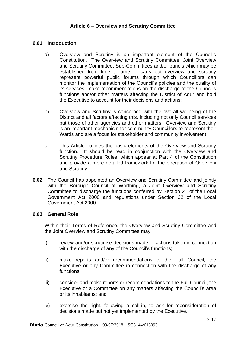## **6.01 Introduction**

- a) Overview and Scrutiny is an important element of the Council's Constitution. The Overview and Scrutiny Committee, Joint Overview and Scrutiny Committee, Sub-Committees and/or panels which may be established from time to time to carry out overview and scrutiny represent powerful public forums through which Councillors can monitor the implementation of the Council's policies and the quality of its services; make recommendations on the discharge of the Council's functions and/or other matters affecting the Disrtict of Adur and hold the Executive to account for their decisions and actions;
- b) Overview and Scrutiny is concerned with the overall wellbeing of the District and all factors affecting this, including not only Council services but those of other agencies and other matters. Overview and Scrutiny is an important mechanism for community Councillors to represent their Wards and are a focus for stakeholder and community involvement;
- c) This Article outlines the basic elements of the Overview and Scrutiny function. It should be read in conjunction with the Overview and Scrutiny Procedure Rules, which appear at Part 4 of the Constitution and provide a more detailed framework for the operation of Overview and Scrutiny.
- **6.02** The Council has appointed an Overview and Scrutiny Committee and jointly with the Borough Council of Worthing, a Joint Overview and Scrutiny Committee to discharge the functions conferred by Section 21 of the Local Government Act 2000 and regulations under Section 32 of the Local Government Act 2000.

#### **6.03 General Role**

Within their Terms of Reference, the Overview and Scrutiny Committee and the Joint Overview and Scrutiny Committee may:

- i) review and/or scrutinise decisions made or actions taken in connection with the discharge of any of the Council's functions;
- ii) make reports and/or recommendations to the Full Council, the Executive or any Committee in connection with the discharge of any functions;
- iii) consider and make reports or recommendations to the Full Council, the Executive or a Committee on any matters affecting the Council's area or its inhabitants; and
- iv) exercise the right, following a call-in, to ask for reconsideration of decisions made but not yet implemented by the Executive.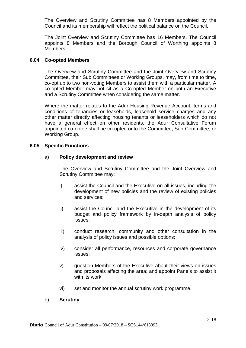The Overview and Scrutiny Committee has 8 Members appointed by the Council and its membership will reflect the political balance on the Council.

The Joint Overview and Scrutiny Committee has 16 Members. The Council appoints 8 Members and the Borough Council of Worthing appoints 8 Members.

## **6.04 Co-opted Members**

The Overview and Scrutiny Committee and the Joint Overview and Scrutiny Committee, their Sub Committees or Working Groups, may, from time to time, co-opt up to two non-voting Members to assist them with a particular matter. A co-opted Member may not sit as a Co-opted Member on both an Executive and a Scrutiny Committee when considering the same matter.

Where the matter relates to the Adur Housing Revenue Account, terms and conditions of tenancies or leaseholds, leasehold service charges and any other matter directly affecting housing tenants or leaseholders which do not have a general effect on other residents, the Adur Consultative Forum appointed co-optee shall be co-opted onto the Committee, Sub-Committee, or Working Group.

### **6.05 Specific Functions**

### a) **Policy development and review**

The Overview and Scrutiny Committee and the Joint Overview and Scrutiny Committee may:

- i) assist the Council and the Executive on all issues, including the development of new policies and the review of existing policies and services;
- ii) assist the Council and the Executive in the development of its budget and policy framework by in-depth analysis of policy issues;
- iii) conduct research, community and other consultation in the analysis of policy issues and possible options;
- iv) consider all performance, resources and corporate governance issues;
- v) question Members of the Executive about their views on issues and proposals affecting the area; and appoint Panels to assist it with its work;
- vi) set and monitor the annual scrutiny work programme.

#### b) **Scrutiny**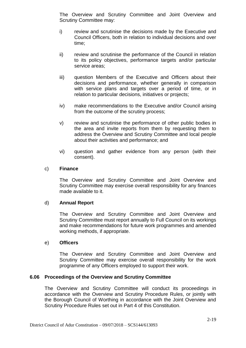The Overview and Scrutiny Committee and Joint Overview and Scrutiny Committee may:

- i) review and scrutinise the decisions made by the Executive and Council Officers, both in relation to individual decisions and over time;
- ii) review and scrutinise the performance of the Council in relation to its policy objectives, performance targets and/or particular service areas;
- iii) question Members of the Executive and Officers about their decisions and performance, whether generally in comparison with service plans and targets over a period of time, or in relation to particular decisions, initiatives or projects;
- iv) make recommendations to the Executive and/or Council arising from the outcome of the scrutiny process;
- v) review and scrutinise the performance of other public bodies in the area and invite reports from them by requesting them to address the Overview and Scrutiny Committee and local people about their activities and performance; and
- vi) question and gather evidence from any person (with their consent).

### c) **Finance**

The Overview and Scrutiny Committee and Joint Overview and Scrutiny Committee may exercise overall responsibility for any finances made available to it.

## d) **Annual Report**

The Overview and Scrutiny Committee and Joint Overview and Scrutiny Committee must report annually to Full Council on its workings and make recommendations for future work programmes and amended working methods, if appropriate.

#### e) **Officers**

The Overview and Scrutiny Committee and Joint Overview and Scrutiny Committee may exercise overall responsibility for the work programme of any Officers employed to support their work.

## **6.06 Proceedings of the Overview and Scrutiny Committee**

The Overview and Scrutiny Committee will conduct its proceedings in accordance with the Overview and Scrutiny Procedure Rules, or jointly with the Borough Council of Worthing in accordance with the Joint Overview and Scrutiny Procedure Rules set out in Part 4 of this Constitution.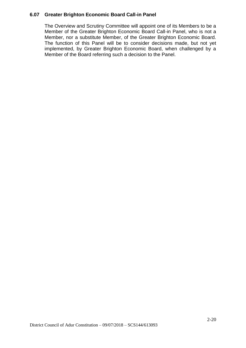## **6.07 Greater Brighton Economic Board Call-in Panel**

The Overview and Scrutiny Committee will appoint one of its Members to be a Member of the Greater Brighton Economic Board Call-in Panel, who is not a Member, nor a substitute Member, of the Greater Brighton Economic Board. The function of this Panel will be to consider decisions made, but not yet implemented, by Greater Brighton Economic Board, when challenged by a Member of the Board referring such a decision to the Panel.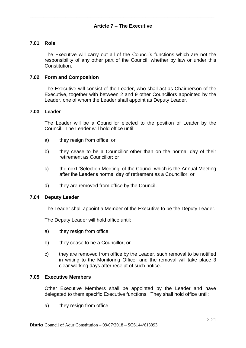## **7.01 Role**

The Executive will carry out all of the Council's functions which are not the responsibility of any other part of the Council, whether by law or under this Constitution.

## **7.02 Form and Composition**

The Executive will consist of the Leader, who shall act as Chairperson of the Executive, together with between 2 and 9 other Councillors appointed by the Leader, one of whom the Leader shall appoint as Deputy Leader.

## **7.03 Leader**

The Leader will be a Councillor elected to the position of Leader by the Council. The Leader will hold office until:

- a) they resign from office; or
- b) they cease to be a Councillor other than on the normal day of their retirement as Councillor; or
- c) the next 'Selection Meeting' of the Council which is the Annual Meeting after the Leader's normal day of retirement as a Councillor; or
- d) they are removed from office by the Council.

## **7.04 Deputy Leader**

The Leader shall appoint a Member of the Executive to be the Deputy Leader.

The Deputy Leader will hold office until:

- a) they resign from office;
- b) they cease to be a Councillor; or
- c) they are removed from office by the Leader, such removal to be notified in writing to the Monitoring Officer and the removal will take place 3 clear working days after receipt of such notice.

#### **7.05 Executive Members**

Other Executive Members shall be appointed by the Leader and have delegated to them specific Executive functions. They shall hold office until:

a) they resign from office: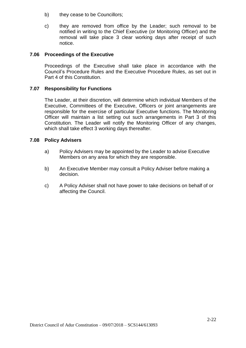- b) they cease to be Councillors;
- c) they are removed from office by the Leader; such removal to be notified in writing to the Chief Executive (or Monitoring Officer) and the removal will take place 3 clear working days after receipt of such notice.

## **7.06 Proceedings of the Executive**

Proceedings of the Executive shall take place in accordance with the Council's Procedure Rules and the Executive Procedure Rules, as set out in Part 4 of this Constitution.

## **7.07 Responsibility for Functions**

The Leader, at their discretion, will determine which individual Members of the Executive, Committees of the Executive, Officers or joint arrangements are responsible for the exercise of particular Executive functions. The Monitoring Officer will maintain a list setting out such arrangements in Part 3 of this Constitution. The Leader will notify the Monitoring Officer of any changes, which shall take effect 3 working days thereafter.

### **7.08 Policy Advisers**

- a) Policy Advisers may be appointed by the Leader to advise Executive Members on any area for which they are responsible.
- b) An Executive Member may consult a Policy Adviser before making a decision.
- c) A Policy Adviser shall not have power to take decisions on behalf of or affecting the Council.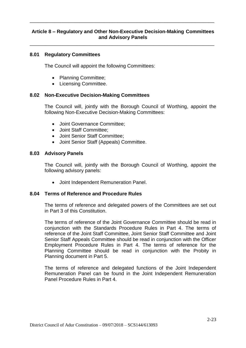# **Article 8 – Regulatory and Other Non-Executive Decision-Making Committees and Advisory Panels**

\_\_\_\_\_\_\_\_\_\_\_\_\_\_\_\_\_\_\_\_\_\_\_\_\_\_\_\_\_\_\_\_\_\_\_\_\_\_\_\_\_\_\_\_\_\_\_\_\_\_\_\_\_\_\_\_\_\_\_\_\_\_\_\_\_\_\_

\_\_\_\_\_\_\_\_\_\_\_\_\_\_\_\_\_\_\_\_\_\_\_\_\_\_\_\_\_\_\_\_\_\_\_\_\_\_\_\_\_\_\_\_\_\_\_\_\_\_\_\_\_\_\_\_\_\_\_\_\_\_\_\_\_\_\_

## **8.01 Regulatory Committees**

The Council will appoint the following Committees:

- Planning Committee;
- Licensing Committee.

### **8.02 Non-Executive Decision-Making Committees**

The Council will, jointly with the Borough Council of Worthing, appoint the following Non-Executive Decision-Making Committees:

- Joint Governance Committee;
- Joint Staff Committee:
- Joint Senior Staff Committee;
- Joint Senior Staff (Appeals) Committee.

#### **8.03 Advisory Panels**

The Council will, jointly with the Borough Council of Worthing, appoint the following advisory panels:

Joint Independent Remuneration Panel.

#### **8.04 Terms of Reference and Procedure Rules**

The terms of reference and delegated powers of the Committees are set out in Part 3 of this Constitution.

The terms of reference of the Joint Governance Committee should be read in conjunction with the Standards Procedure Rules in Part 4. The terms of reference of the Joint Staff Committee, Joint Senior Staff Committee and Joint Senior Staff Appeals Committee should be read in conjunction with the Officer Employment Procedure Rules in Part 4. The terms of reference for the Planning Committee should be read in conjunction with the Probity in Planning document in Part 5.

The terms of reference and delegated functions of the Joint Independent Remuneration Panel can be found in the Joint Independent Remuneration Panel Procedure Rules in Part 4.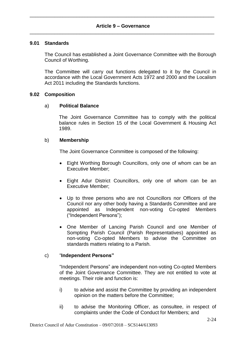### **9.01 Standards**

The Council has established a Joint Governance Committee with the Borough Council of Worthing.

The Committee will carry out functions delegated to it by the Council in accordance with the Local Government Acts 1972 and 2000 and the Localism Act 2011 including the Standards functions.

#### **9.02 Composition**

### a) **Political Balance**

The Joint Governance Committee has to comply with the political balance rules in Section 15 of the Local Government & Housing Act 1989.

### b) **Membership**

The Joint Governance Committee is composed of the following:

- Eight Worthing Borough Councillors, only one of whom can be an Executive Member;
- Eight Adur District Councillors, only one of whom can be an Executive Member;
- Up to three persons who are not Councillors nor Officers of the Council nor any other body having a Standards Committee and are appointed as Independent non-voting Co-opted Members ("Independent Persons");
- One Member of Lancing Parish Council and one Member of Sompting Parish Council (Parish Representatives) appointed as non-voting Co-opted Members to advise the Committee on standards matters relating to a Parish.

## c) "**Independent Persons"**

"Independent Persons" are independent non-voting Co-opted Members of the Joint Governance Committee. They are not entitled to vote at meetings. Their role and function is:

- i) to advise and assist the Committee by providing an independent opinion on the matters before the Committee;
- ii) to advise the Monitoring Officer, as consultee, in respect of complaints under the Code of Conduct for Members; and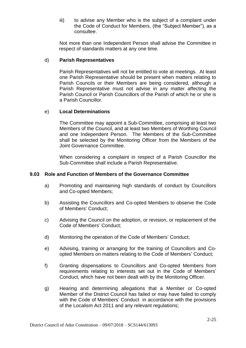iii) to advise any Member who is the subject of a complaint under the Code of Conduct for Members, (the "Subject Member"), as a consultee.

Not more than one Independent Person shall advise the Committee in respect of standards matters at any one time.

### d) **Parish Representatives**

Parish Representatives will not be entitled to vote at meetings. At least one Parish Representative should be present when matters relating to Parish Councils or their Members are being considered, although a Parish Representative must not advise in any matter affecting the Parish Council or Parish Councillors of the Parish of which he or she is a Parish Councillor.

### e) **Local Determinations**

The Committee may appoint a Sub-Committee, comprising at least two Members of the Council, and at least two Members of Worthing Council and one Independent Person. The Members of the Sub-Committee shall be selected by the Monitoring Officer from the Members of the Joint Governance Committee.

When considering a complaint in respect of a Parish Councillor the Sub-Committee shall include a Parish Representative.

#### **9.03 Role and Function of Members of the Governance Committee**

- a) Promoting and maintaining high standards of conduct by Councillors and Co-opted Members;
- b) Assisting the Councillors and Co-opted Members to observe the Code of Members' Conduct;
- c) Advising the Council on the adoption, or revision, or replacement of the Code of Members' Conduct;
- d) Monitoring the operation of the Code of Members' Conduct;
- e) Advising, training or arranging for the training of Councillors and Coopted Members on matters relating to the Code of Members' Conduct;
- f) Granting dispensations to Councillors and Co-opted Members from requirements relating to interests set out in the Code of Members' Conduct, which have not been dealt with by the Monitoring Officer.
- g) Hearing and determining allegations that a Member or Co-opted Member of the District Council has failed or may have failed to comply with the Code of Members' Conduct in accordance with the provisions of the Localism Act 2011 and any relevant regulations;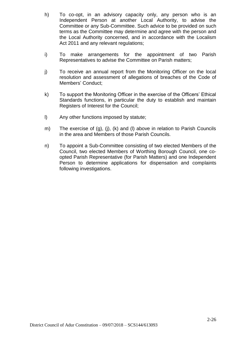- h) To co-opt, in an advisory capacity only, any person who is an Independent Person at another Local Authority, to advise the Committee or any Sub-Committee. Such advice to be provided on such terms as the Committee may determine and agree with the person and the Local Authority concerned, and in accordance with the Localism Act 2011 and any relevant regulations;
- i) To make arrangements for the appointment of two Parish Representatives to advise the Committee on Parish matters;
- j) To receive an annual report from the Monitoring Officer on the local resolution and assessment of allegations of breaches of the Code of Members' Conduct;
- k) To support the Monitoring Officer in the exercise of the Officers' Ethical Standards functions, in particular the duty to establish and maintain Registers of Interest for the Council;
- l) Any other functions imposed by statute;
- m) The exercise of (g), (j), (k) and (l) above in relation to Parish Councils in the area and Members of those Parish Councils.
- n) To appoint a Sub-Committee consisting of two elected Members of the Council, two elected Members of Worthing Borough Council, one coopted Parish Representative (for Parish Matters) and one Independent Person to determine applications for dispensation and complaints following investigations.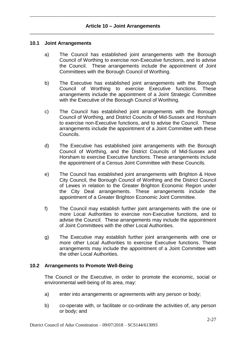#### **10.1 Joint Arrangements**

- a) The Council has established joint arrangements with the Borough Council of Worthing to exercise non-Executive functions, and to advise the Council. These arrangements include the appointment of Joint Committees with the Borough Council of Worthing.
- b) The Executive has established joint arrangements with the Borough Council of Worthing to exercise Executive functions. These arrangements include the appointment of a Joint Strategic Committee with the Executive of the Borough Council of Worthing.
- c) The Council has established joint arrangements with the Borough Council of Worthing, and District Councils of Mid-Sussex and Horsham to exercise non-Executive functions, and to advise the Council. These arrangements include the appointment of a Joint Committee with these Councils.
- d) The Executive has established joint arrangements with the Borough Council of Worthing, and the District Councils of Mid-Sussex and Horsham to exercise Executive functions. These arrangements include the appointment of a Census Joint Committee with these Councils.
- e) The Council has established joint arrangements with Brighton & Hove City Council, the Borough Council of Worthing and the District Council of Lewes in relation to the Greater Brighton Economic Region under the City Deal arrangements. These arrangements include the appointment of a Greater Brighton Economic Joint Committee.
- f) The Council may establish further joint arrangements with the one or more Local Authorities to exercise non-Executive functions, and to advise the Council. These arrangements may include the appointment of Joint Committees with the other Local Authorities.
- g) The Executive may establish further joint arrangements with one or more other Local Authorities to exercise Executive functions. These arrangements may include the appointment of a Joint Committee with the other Local Authorities.

#### **10.2 Arrangements to Promote Well-Being**

The Council or the Executive, in order to promote the economic, social or environmental well-being of its area, may:

- a) enter into arrangements or agreements with any person or body;
- b) co-operate with, or facilitate or co-ordinate the activities of, any person or body; and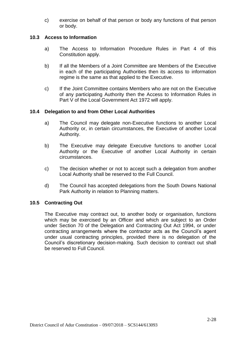c) exercise on behalf of that person or body any functions of that person or body.

## **10.3 Access to Information**

- a) The Access to Information Procedure Rules in Part 4 of this Constitution apply.
- b) If all the Members of a Joint Committee are Members of the Executive in each of the participating Authorities then its access to information regime is the same as that applied to the Executive.
- c) If the Joint Committee contains Members who are not on the Executive of any participating Authority then the Access to Information Rules in Part V of the Local Government Act 1972 will apply.

## **10.4 Delegation to and from Other Local Authorities**

- a) The Council may delegate non-Executive functions to another Local Authority or, in certain circumstances, the Executive of another Local Authority.
- b) The Executive may delegate Executive functions to another Local Authority or the Executive of another Local Authority in certain circumstances.
- c) The decision whether or not to accept such a delegation from another Local Authority shall be reserved to the Full Council.
- d) The Council has accepted delegations from the South Downs National Park Authority in relation to Planning matters.

## **10.5 Contracting Out**

The Executive may contract out, to another body or organisation, functions which may be exercised by an Officer and which are subject to an Order under Section 70 of the Delegation and Contracting Out Act 1994, or under contracting arrangements where the contractor acts as the Council's agent under usual contracting principles, provided there is no delegation of the Council's discretionary decision-making. Such decision to contract out shall be reserved to Full Council.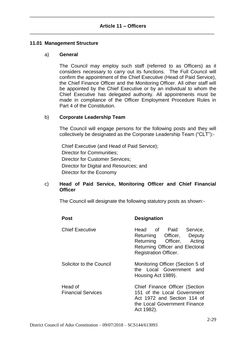## **Article 11 – Officers** \_\_\_\_\_\_\_\_\_\_\_\_\_\_\_\_\_\_\_\_\_\_\_\_\_\_\_\_\_\_\_\_\_\_\_\_\_\_\_\_\_\_\_\_\_\_\_\_\_\_\_\_\_\_\_\_\_\_\_\_\_\_\_\_\_\_\_

\_\_\_\_\_\_\_\_\_\_\_\_\_\_\_\_\_\_\_\_\_\_\_\_\_\_\_\_\_\_\_\_\_\_\_\_\_\_\_\_\_\_\_\_\_\_\_\_\_\_\_\_\_\_\_\_\_\_\_\_\_\_\_\_\_\_\_

#### **11.01 Management Structure**

#### a) **General**

The Council may employ such staff (referred to as Officers) as it considers necessary to carry out its functions. The Full Council will confirm the appointment of the Chief Executive (Head of Paid Service), the Chief Finance Officer and the Monitoring Officer. All other staff will be appointed by the Chief Executive or by an individual to whom the Chief Executive has delegated authority. All appointments must be made in compliance of the Officer Employment Procedure Rules in Part 4 of the Constitution.

### b) **Corporate Leadership Team**

The Council will engage persons for the following posts and they will collectively be designated as the Corporate Leadership Team ("CLT"):-

Chief Executive (and Head of Paid Service); Director for Communities; Director for Customer Services; Director for Digital and Resources; and Director for the Economy

## c) **Head of Paid Service, Monitoring Officer and Chief Financial Officer**

The Council will designate the following statutory posts as shown:-

| <b>Post</b>                          | <b>Designation</b>                                                                                                                                 |
|--------------------------------------|----------------------------------------------------------------------------------------------------------------------------------------------------|
| <b>Chief Executive</b>               | Head of Paid Service,<br>Returning Officer, Deputy<br>Returning Officer, Acting<br>Returning Officer and Electoral<br><b>Registration Officer.</b> |
| Solicitor to the Council             | Monitoring Officer (Section 5 of<br>the Local Government and<br>Housing Act 1989).                                                                 |
| Head of<br><b>Financial Services</b> | Chief Finance Officer (Section<br>151 of the Local Government<br>Act 1972 and Section 114 of<br>the Local Government Finance<br>Act 1982).         |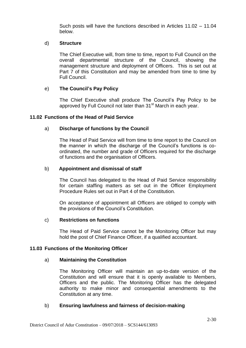Such posts will have the functions described in Articles 11.02 – 11.04 below.

## d) **Structure**

The Chief Executive will, from time to time, report to Full Council on the overall departmental structure of the Council, showing the management structure and deployment of Officers. This is set out at Part 7 of this Constitution and may be amended from time to time by Full Council.

# e) **The Council's Pay Policy**

The Chief Executive shall produce The Council's Pay Policy to be approved by Full Council not later than 31<sup>st</sup> March in each year.

## **11.02 Functions of the Head of Paid Service**

## a) **Discharge of functions by the Council**

The Head of Paid Service will from time to time report to the Council on the manner in which the discharge of the Council's functions is coordinated, the number and grade of Officers required for the discharge of functions and the organisation of Officers.

### b) **Appointment and dismissal of staff**

The Council has delegated to the Head of Paid Service responsibility for certain staffing matters as set out in the Officer Employment Procedure Rules set out in Part 4 of the Constitution.

On acceptance of appointment all Officers are obliged to comply with the provisions of the Council's Constitution.

## c) **Restrictions on functions**

The Head of Paid Service cannot be the Monitoring Officer but may hold the post of Chief Finance Officer, if a qualified accountant.

#### **11.03 Functions of the Monitoring Officer**

#### a) **Maintaining the Constitution**

The Monitoring Officer will maintain an up-to-date version of the Constitution and will ensure that it is openly available to Members, Officers and the public. The Monitoring Officer has the delegated authority to make minor and consequential amendments to the Constitution at any time.

## b) **Ensuring lawfulness and fairness of decision-making**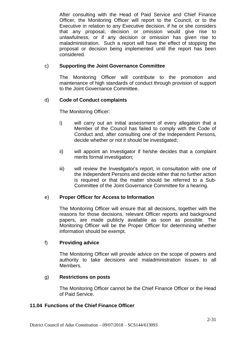After consulting with the Head of Paid Service and Chief Finance Officer, the Monitoring Officer will report to the Council, or to the Executive in relation to any Executive decision, if he or she considers that any proposal, decision or omission would give rise to unlawfulness, or if any decision or omission has given rise to maladministration. Such a report will have the effect of stopping the proposal or decision being implemented until the report has been considered.

## c) **Supporting the Joint Governance Committee**

The Monitoring Officer will contribute to the promotion and maintenance of high standards of conduct through provision of support to the Joint Governance Committee.

# d) **Code of Conduct complaints**

The Monitoring Officer:

- i) will carry out an initial assessment of every allegation that a Member of the Council has failed to comply with the Code of Conduct and, after consulting one of the Independent Persons, decide whether or not it should be investigated;
- ii) will appoint an Investigator if he/she decides that a complaint merits formal investigation;
- iii) will review the Investigator's report, in consultation with one of the Independent Persons and decide either that no further action is required or that the matter should be referred to a Sub-Committee of the Joint Governance Committee for a hearing.

# e) **Proper Officer for Access to Information**

The Monitoring Officer will ensure that all decisions, together with the reasons for those decisions, relevant Officer reports and background papers, are made publicly available as soon as possible. The Monitoring Officer will be the Proper Officer for determining whether information should be exempt.

# f) **Providing advice**

The Monitoring Officer will provide advice on the scope of powers and authority to take decisions and maladministration issues to all Members.

## g) **Restrictions on posts**

The Monitoring Officer cannot be the Chief Finance Officer or the Head of Paid Service.

## **11.04 Functions of the Chief Finance Officer**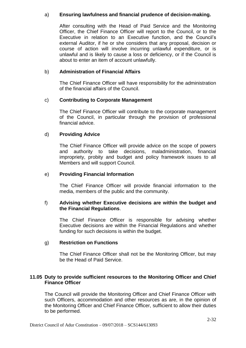## a) **Ensuring lawfulness and financial prudence of decision-making.**

After consulting with the Head of Paid Service and the Monitoring Officer, the Chief Finance Officer will report to the Council, or to the Executive in relation to an Executive function, and the Council's external Auditor, if he or she considers that any proposal, decision or course of action will involve incurring unlawful expenditure, or is unlawful and is likely to cause a loss or deficiency, or if the Council is about to enter an item of account unlawfully.

## b) **Administration of Financial Affairs**

The Chief Finance Officer will have responsibility for the administration of the financial affairs of the Council.

# c) **Contributing to Corporate Management**

The Chief Finance Officer will contribute to the corporate management of the Council, in particular through the provision of professional financial advice.

# d) **Providing Advice**

The Chief Finance Officer will provide advice on the scope of powers and authority to take decisions, maladministration, financial impropriety, probity and budget and policy framework issues to all Members and will support Council.

## e) **Providing Financial Information**

The Chief Finance Officer will provide financial information to the media, members of the public and the community.

## f) **Advising whether Executive decisions are within the budget and the Financial Regulations**.

The Chief Finance Officer is responsible for advising whether Executive decisions are within the Financial Regulations and whether funding for such decisions is within the budget.

## g) **Restriction on Functions**

The Chief Finance Officer shall not be the Monitoring Officer, but may be the Head of Paid Service.

# **11.05 Duty to provide sufficient resources to the Monitoring Officer and Chief Finance Officer**

The Council will provide the Monitoring Officer and Chief Finance Officer with such Officers, accommodation and other resources as are, in the opinion of the Monitoring Officer and Chief Finance Officer, sufficient to allow their duties to be performed.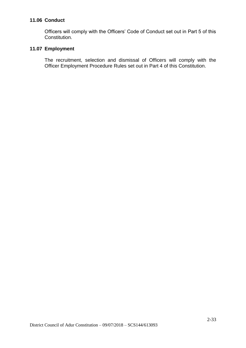## **11.06 Conduct**

Officers will comply with the Officers' Code of Conduct set out in Part 5 of this Constitution.

# **11.07 Employment**

The recruitment, selection and dismissal of Officers will comply with the Officer Employment Procedure Rules set out in Part 4 of this Constitution.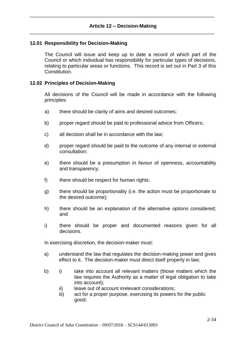## **12.01 Responsibility for Decision-Making**

The Council will issue and keep up to date a record of which part of the Council or which individual has responsibility for particular types of decisions, relating to particular areas or functions. This record is set out in Part 3 of this Constitution.

#### **12.02 Principles of Decision-Making**

All decisions of the Council will be made in accordance with the following principles:

- a) there should be clarity of aims and desired outcomes;
- b) proper regard should be paid to professional advice from Officers;
- c) all decision shall be in accordance with the law;
- d) proper regard should be paid to the outcome of any internal or external consultation;
- e) there should be a presumption in favour of openness, accountability and transparency;
- f) there should be respect for human rights:
- g) there should be proportionality (i.e. the action must be proportionate to the desired outcome);
- h) there should be an explanation of the alternative options considered; and
- i) there should be proper and documented reasons given for all decisions.

In exercising discretion, the decision-maker must:

- a) understand the law that regulates the decision-making power and gives effect to it. The decision-maker must direct itself properly in law;
- b) i) take into account all relevant matters (those matters which the law requires the Authority as a matter of legal obligation to take into account);
	- ii) leave out of account irrelevant considerations:
	- iii) act for a proper purpose, exercising its powers for the public good;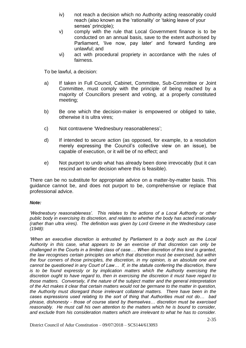- iv) not reach a decision which no Authority acting reasonably could reach (also known as the 'rationality' or 'taking leave of your senses' principle);
- v) comply with the rule that Local Government finance is to be conducted on an annual basis, save to the extent authorised by Parliament, 'live now, pay later' and forward funding are unlawful; and
- vi) act with procedural propriety in accordance with the rules of fairness.

To be lawful, a decision:

- a) If taken in Full Council, Cabinet, Committee, Sub-Committee or Joint Committee, must comply with the principle of being reached by a majority of Councillors present and voting, at a properly constituted meeting;
- b) Be one which the decision-maker is empowered or obliged to take, otherwise it is ultra vires;
- c) Not contravene 'Wednesbury reasonableness';
- d) If intended to secure action (as opposed, for example, to a resolution merely expressing the Council's collective view on an issue), be capable of execution, or it will be of no effect; and
- e) Not purport to undo what has already been done irrevocably (but it can rescind an earlier decision where this is feasible).

There can be no substitute for appropriate advice on a matter-by-matter basis. This guidance cannot be, and does not purport to be, comprehensive or replace that professional advice.

## *Note:*

*'Wednesbury reasonableness'. This relates to the actions of a Local Authority or other public body in exercising its discretion, and relates to whether the body has acted irrationally (rather than ultra vires). The definition was given by Lord Greene in the Wednesbury case (1948):*

*'When an executive discretion is entrusted by Parliament to a body such as the Local Authority in this case, what appears to be an exercise of that discretion can only be challenged in the Courts in a limited class of case…. When discretion of this kind is granted, the law recognises certain principles on which that discretion must be exercised, but within the four corners of those principles, the discretion, in my opinion, is an absolute one and cannot be questioned in any Court of Law… If, in the statute conferring the discretion, there is to be found expressly or by implication matters which the Authority exercising the discretion ought to have regard to, then in exercising the discretion it must have regard to those matters. Conversely, if the nature of the subject matter and the general interpretation of the Act makes it clear that certain matters would not be germane to the matter in question, the Authority must disregard those irrelevant collateral matters. There have been in the cases expressions used relating to the sort of thing that Authorities must not do… bad phrase, dishonesty - those of course stand by themselves… discretion must be exercised reasonably. He must call his own attention to the matters which he is bound to consider, and exclude from his consideration matters which are irrelevant to what he has to consider.*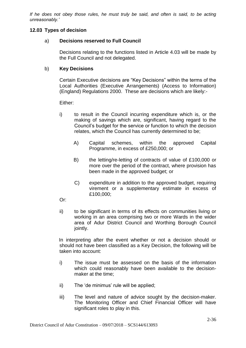*If he does not obey those rules, he must truly be said, and often is said, to be acting unreasonably.'*

## **12.03 Types of decision**

# a) **Decisions reserved to Full Council**

Decisions relating to the functions listed in Article 4.03 will be made by the Full Council and not delegated.

## b) **Key Decisions**

Certain Executive decisions are "Key Decisions" within the terms of the Local Authorities (Executive Arrangements) (Access to Information) (England) Regulations 2000. These are decisions which are likely:-

Either:

- i) to result in the Council incurring expenditure which is, or the making of savings which are, significant, having regard to the Council's budget for the service or function to which the decision relates, which the Council has currently determined to be;
	- A) Capital schemes, within the approved Capital Programme, in excess of £250,000; or
	- B) the letting/re-letting of contracts of value of £100,000 or more over the period of the contract, where provision has been made in the approved budget; or
	- C) expenditure in addition to the approved budget, requiring virement or a supplementary estimate in excess of £100,000;
- Or:
- ii) to be significant in terms of its effects on communities living or working in an area comprising two or more Wards in the wider area of Adur District Council and Worthing Borough Council jointly.

In interpreting after the event whether or not a decision should or should not have been classified as a Key Decision, the following will be taken into account:

- i) The issue must be assessed on the basis of the information which could reasonably have been available to the decisionmaker at the time;
- ii) The 'de minimus' rule will be applied;
- iii) The level and nature of advice sought by the decision-maker. The Monitoring Officer and Chief Financial Officer will have significant roles to play in this.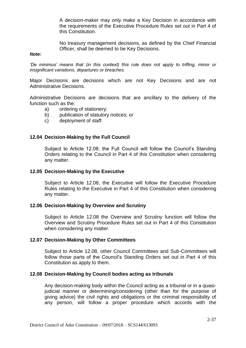A decision-maker may only make a Key Decision in accordance with the requirements of the Executive Procedure Rules set out in Part 4 of this Constitution.

No treasury management decisions, as defined by the Chief Financial Officer, shall be deemed to be Key Decisions.

#### *Note:*

*'De minimus' means that (in this context) this rule does not apply to trifling, minor or insignificant variations, departures or breaches.*

Major Decisions are decisions which are not Key Decisions and are not Administrative Decisions.

Administrative Decisions are decisions that are ancillary to the delivery of the function such as the:

- a) ordering of stationery;
- b) publication of statutory notices; or
- c) deployment of staff.

#### **12.04 Decision-Making by the Full Council**

Subject to Article 12.08, the Full Council will follow the Council's Standing Orders relating to the Council in Part 4 of this Constitution when considering any matter.

#### **12.05 Decision-Making by the Executive**

Subject to Article 12.08, the Executive will follow the Executive Procedure Rules relating to the Executive in Part 4 of this Constitution when considering any matter.

#### **12.06 Decision-Making by Overview and Scrutiny**

Subject to Article 12.08 the Overview and Scrutiny function will follow the Overview and Scrutiny Procedure Rules set out in Part 4 of this Constitution when considering any matter.

#### **12.07 Decision-Making by Other Committees**

Subject to Article 12.08, other Council Committees and Sub-Committees will follow those parts of the Council's Standing Orders set out in Part 4 of this Constitution as apply to them.

#### **12.08 Decision-Making by Council bodies acting as tribunals**

Any decision-making body within the Council acting as a tribunal or in a quasijudicial manner or determining/considering (other than for the purpose of giving advice) the civil rights and obligations or the criminal responsibility of any person, will follow a proper procedure which accords with the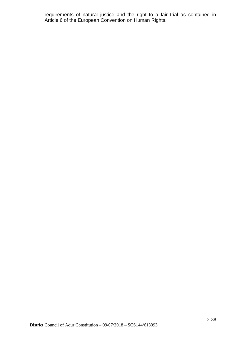requirements of natural justice and the right to a fair trial as contained in Article 6 of the European Convention on Human Rights.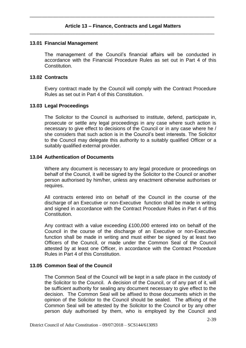## **13.01 Financial Management**

The management of the Council's financial affairs will be conducted in accordance with the Financial Procedure Rules as set out in Part 4 of this Constitution.

## **13.02 Contracts**

Every contract made by the Council will comply with the Contract Procedure Rules as set out in Part 4 of this Constitution.

### **13.03 Legal Proceedings**

The Solicitor to the Council is authorised to institute, defend, participate in, prosecute or settle any legal proceedings in any case where such action is necessary to give effect to decisions of the Council or in any case where he / she considers that such action is in the Council's best interests. The Solicitor to the Council may delegate this authority to a suitably qualified Officer or a suitably qualified external provider.

## **13.04 Authentication of Documents**

Where any document is necessary to any legal procedure or proceedings on behalf of the Council, it will be signed by the Solicitor to the Council or another person authorised by him/her, unless any enactment otherwise authorises or requires.

All contracts entered into on behalf of the Council in the course of the discharge of an Executive or non-Executive function shall be made in writing and signed in accordance with the Contract Procedure Rules in Part 4 of this Constitution.

Any contract with a value exceeding £100,000 entered into on behalf of the Council in the course of the discharge of an Executive or non-Executive function shall be made in writing and must either be signed by at least two Officers of the Council, or made under the Common Seal of the Council attested by at least one Officer, in accordance with the Contract Procedure Rules in Part 4 of this Constitution.

## **13.05 Common Seal of the Council**

The Common Seal of the Council will be kept in a safe place in the custody of the Solicitor to the Council. A decision of the Council, or of any part of it, will be sufficient authority for sealing any document necessary to give effect to the decision. The Common Seal will be affixed to those documents which in the opinion of the Solicitor to the Council should be sealed. The affixing of the Common Seal will be attested by the Solicitor to the Council or by any other person duly authorised by them, who is employed by the Council and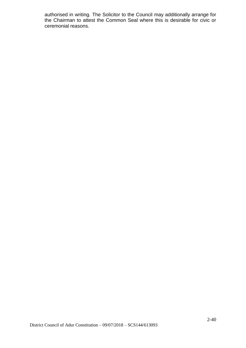authorised in writing. The Solicitor to the Council may additionally arrange for the Chairman to attest the Common Seal where this is desirable for civic or ceremonial reasons.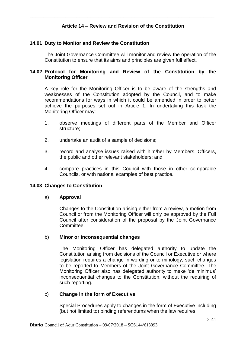## **14.01 Duty to Monitor and Review the Constitution**

The Joint Governance Committee will monitor and review the operation of the Constitution to ensure that its aims and principles are given full effect.

## **14.02 Protocol for Monitoring and Review of the Constitution by the Monitoring Officer**

A key role for the Monitoring Officer is to be aware of the strengths and weaknesses of the Constitution adopted by the Council, and to make recommendations for ways in which it could be amended in order to better achieve the purposes set out in Article 1. In undertaking this task the Monitoring Officer may:

- 1. observe meetings of different parts of the Member and Officer structure;
- 2. undertake an audit of a sample of decisions;
- 3. record and analyse issues raised with him/her by Members, Officers, the public and other relevant stakeholders; and
- 4. compare practices in this Council with those in other comparable Councils, or with national examples of best practice.

## **14.03 Changes to Constitution**

#### a) **Approval**

Changes to the Constitution arising either from a review, a motion from Council or from the Monitoring Officer will only be approved by the Full Council after consideration of the proposal by the Joint Governance Committee.

#### b) **Minor or inconsequential changes**

The Monitoring Officer has delegated authority to update the Constitution arising from decisions of the Council or Executive or where legislation requires a change in wording or terminology, such changes to be reported to Members of the Joint Governance Committee. The Monitoring Officer also has delegated authority to make 'de minimus' inconsequential changes to the Constitution, without the requiring of such reporting.

#### c) **Change in the form of Executive**

Special Procedures apply to changes in the form of Executive including (but not limited to) binding referendums when the law requires.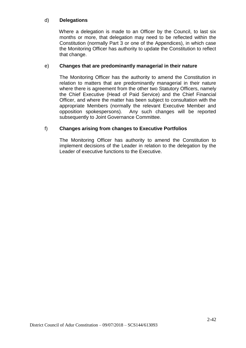# d) **Delegations**

Where a delegation is made to an Officer by the Council, to last six months or more, that delegation may need to be reflected within the Constitution (normally Part 3 or one of the Appendices), in which case the Monitoring Officer has authority to update the Constitution to reflect that change.

## e) **Changes that are predominantly managerial in their nature**

The Monitoring Officer has the authority to amend the Constitution in relation to matters that are predominantly managerial in their nature where there is agreement from the other two Statutory Officers, namely the Chief Executive (Head of Paid Service) and the Chief Financial Officer, and where the matter has been subject to consultation with the appropriate Members (normally the relevant Executive Member and opposition spokespersons). Any such changes will be reported subsequently to Joint Governance Committee.

# f) **Changes arising from changes to Executive Portfolios**

The Monitoring Officer has authority to amend the Constitution to implement decisions of the Leader in relation to the delegation by the Leader of executive functions to the Executive.